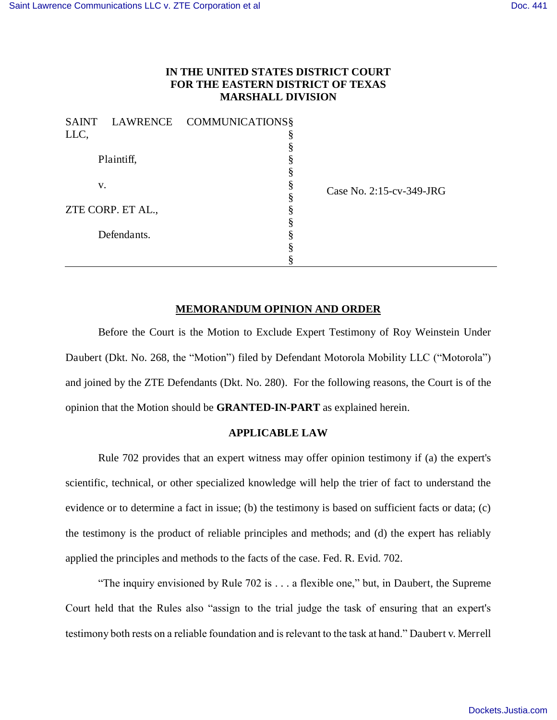## **IN THE UNITED STATES DISTRICT COURT FOR THE EASTERN DISTRICT OF TEXAS MARSHALL DIVISION**

2:15-cv-349-JRG

|                   |  | SAINT LAWRENCE COMMUNICATIONS§ |          |
|-------------------|--|--------------------------------|----------|
| LLC,              |  |                                |          |
| Plaintiff,        |  |                                |          |
|                   |  |                                |          |
|                   |  |                                |          |
| v.                |  |                                | Case No. |
|                   |  | ş                              |          |
| ZTE CORP. ET AL., |  | §                              |          |
|                   |  |                                |          |
| Defendants.       |  |                                |          |
|                   |  |                                |          |
|                   |  |                                |          |

# **MEMORANDUM OPINION AND ORDER**

Before the Court is the Motion to Exclude Expert Testimony of Roy Weinstein Under Daubert (Dkt. No. 268, the "Motion") filed by Defendant Motorola Mobility LLC ("Motorola") and joined by the ZTE Defendants (Dkt. No. 280). For the following reasons, the Court is of the opinion that the Motion should be **GRANTED-IN-PART** as explained herein.

### **APPLICABLE LAW**

Rule 702 provides that an expert witness may offer opinion testimony if (a) the expert's scientific, technical, or other specialized knowledge will help the trier of fact to understand the evidence or to determine a fact in issue; (b) the testimony is based on sufficient facts or data; (c) the testimony is the product of reliable principles and methods; and (d) the expert has reliably applied the principles and methods to the facts of the case. Fed. R. Evid. 702.

"The inquiry envisioned by Rule 702 is . . . a flexible one," but, in Daubert, the Supreme Court held that the Rules also "assign to the trial judge the task of ensuring that an expert's testimony both rests on a reliable foundation and is relevant to the task at hand." Daubert v. Merrell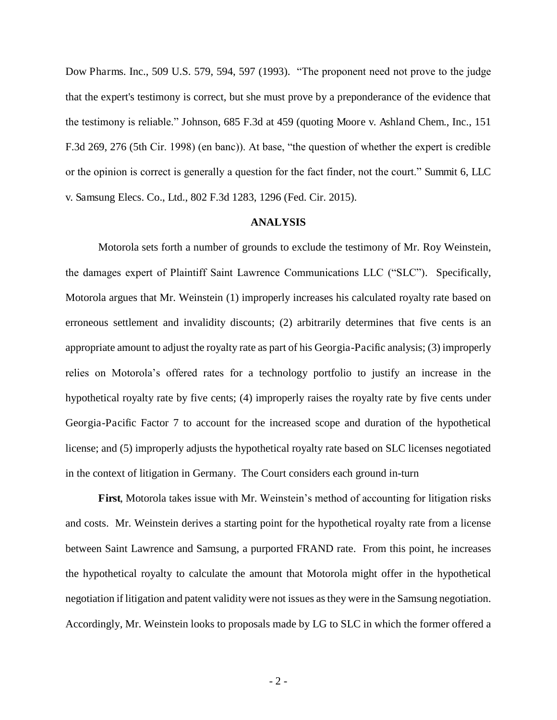Dow Pharms. Inc., 509 U.S. 579, 594, 597 (1993). "The proponent need not prove to the judge that the expert's testimony is correct, but she must prove by a preponderance of the evidence that the testimony is reliable." Johnson, 685 F.3d at 459 (quoting Moore v. Ashland Chem., Inc., 151 F.3d 269, 276 (5th Cir. 1998) (en banc)). At base, "the question of whether the expert is credible or the opinion is correct is generally a question for the fact finder, not the court." Summit 6, LLC v. Samsung Elecs. Co., Ltd., 802 F.3d 1283, 1296 (Fed. Cir. 2015).

### **ANALYSIS**

Motorola sets forth a number of grounds to exclude the testimony of Mr. Roy Weinstein, the damages expert of Plaintiff Saint Lawrence Communications LLC ("SLC"). Specifically, Motorola argues that Mr. Weinstein (1) improperly increases his calculated royalty rate based on erroneous settlement and invalidity discounts; (2) arbitrarily determines that five cents is an appropriate amount to adjust the royalty rate as part of his Georgia-Pacific analysis; (3) improperly relies on Motorola's offered rates for a technology portfolio to justify an increase in the hypothetical royalty rate by five cents; (4) improperly raises the royalty rate by five cents under Georgia-Pacific Factor 7 to account for the increased scope and duration of the hypothetical license; and (5) improperly adjusts the hypothetical royalty rate based on SLC licenses negotiated in the context of litigation in Germany. The Court considers each ground in-turn

**First**, Motorola takes issue with Mr. Weinstein's method of accounting for litigation risks and costs. Mr. Weinstein derives a starting point for the hypothetical royalty rate from a license between Saint Lawrence and Samsung, a purported FRAND rate. From this point, he increases the hypothetical royalty to calculate the amount that Motorola might offer in the hypothetical negotiation if litigation and patent validity were not issues as they were in the Samsung negotiation. Accordingly, Mr. Weinstein looks to proposals made by LG to SLC in which the former offered a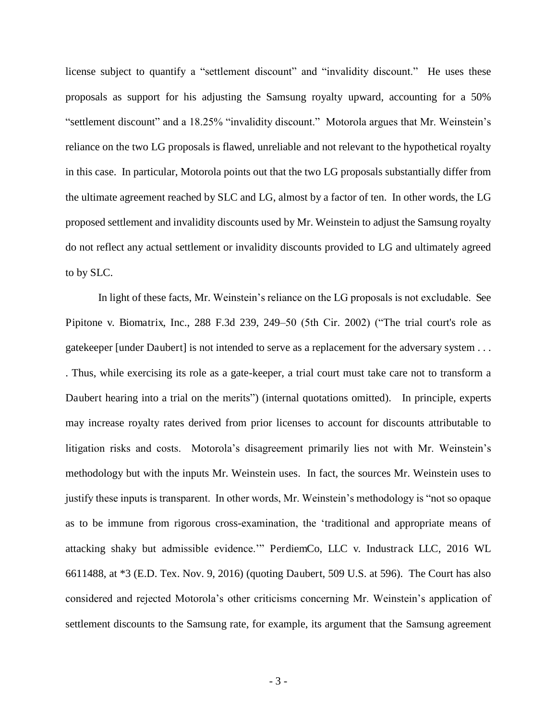license subject to quantify a "settlement discount" and "invalidity discount." He uses these proposals as support for his adjusting the Samsung royalty upward, accounting for a 50% "settlement discount" and a 18.25% "invalidity discount." Motorola argues that Mr. Weinstein's reliance on the two LG proposals is flawed, unreliable and not relevant to the hypothetical royalty in this case. In particular, Motorola points out that the two LG proposals substantially differ from the ultimate agreement reached by SLC and LG, almost by a factor of ten. In other words, the LG proposed settlement and invalidity discounts used by Mr. Weinstein to adjust the Samsung royalty do not reflect any actual settlement or invalidity discounts provided to LG and ultimately agreed to by SLC.

In light of these facts, Mr. Weinstein's reliance on the LG proposals is not excludable. See Pipitone v. Biomatrix, Inc., 288 F.3d 239, 249–50 (5th Cir. 2002) ("The trial court's role as gatekeeper [under Daubert] is not intended to serve as a replacement for the adversary system . . . . Thus, while exercising its role as a gate-keeper, a trial court must take care not to transform a Daubert hearing into a trial on the merits") (internal quotations omitted). In principle, experts may increase royalty rates derived from prior licenses to account for discounts attributable to litigation risks and costs. Motorola's disagreement primarily lies not with Mr. Weinstein's methodology but with the inputs Mr. Weinstein uses. In fact, the sources Mr. Weinstein uses to justify these inputs is transparent. In other words, Mr. Weinstein's methodology is "not so opaque as to be immune from rigorous cross-examination, the 'traditional and appropriate means of attacking shaky but admissible evidence.'" PerdiemCo, LLC v. Industrack LLC, 2016 WL 6611488, at \*3 (E.D. Tex. Nov. 9, 2016) (quoting Daubert, 509 U.S. at 596). The Court has also considered and rejected Motorola's other criticisms concerning Mr. Weinstein's application of settlement discounts to the Samsung rate, for example, its argument that the Samsung agreement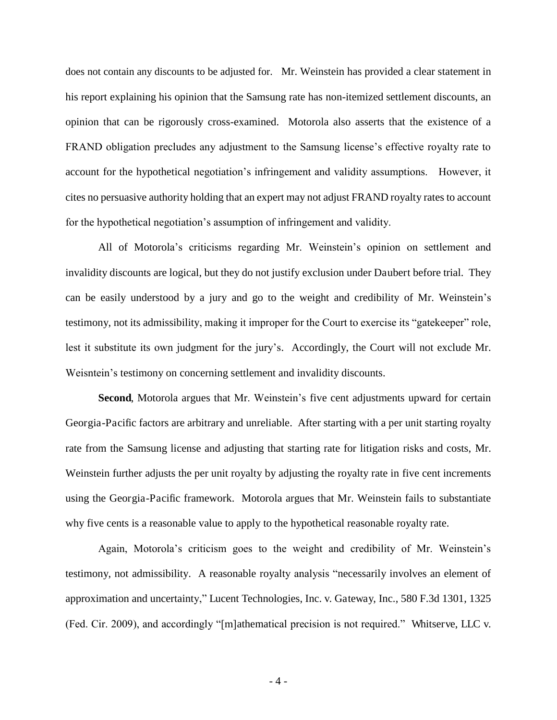does not contain any discounts to be adjusted for. Mr. Weinstein has provided a clear statement in his report explaining his opinion that the Samsung rate has non-itemized settlement discounts, an opinion that can be rigorously cross-examined. Motorola also asserts that the existence of a FRAND obligation precludes any adjustment to the Samsung license's effective royalty rate to account for the hypothetical negotiation's infringement and validity assumptions. However, it cites no persuasive authority holding that an expert may not adjust FRAND royalty rates to account for the hypothetical negotiation's assumption of infringement and validity.

All of Motorola's criticisms regarding Mr. Weinstein's opinion on settlement and invalidity discounts are logical, but they do not justify exclusion under Daubert before trial. They can be easily understood by a jury and go to the weight and credibility of Mr. Weinstein's testimony, not its admissibility, making it improper for the Court to exercise its "gatekeeper" role, lest it substitute its own judgment for the jury's. Accordingly, the Court will not exclude Mr. Weisntein's testimony on concerning settlement and invalidity discounts.

**Second**, Motorola argues that Mr. Weinstein's five cent adjustments upward for certain Georgia-Pacific factors are arbitrary and unreliable. After starting with a per unit starting royalty rate from the Samsung license and adjusting that starting rate for litigation risks and costs, Mr. Weinstein further adjusts the per unit royalty by adjusting the royalty rate in five cent increments using the Georgia-Pacific framework. Motorola argues that Mr. Weinstein fails to substantiate why five cents is a reasonable value to apply to the hypothetical reasonable royalty rate.

Again, Motorola's criticism goes to the weight and credibility of Mr. Weinstein's testimony, not admissibility. A reasonable royalty analysis "necessarily involves an element of approximation and uncertainty," Lucent Technologies, Inc. v. Gateway, Inc., 580 F.3d 1301, 1325 (Fed. Cir. 2009), and accordingly "[m]athematical precision is not required." Whitserve, LLC v.

- 4 -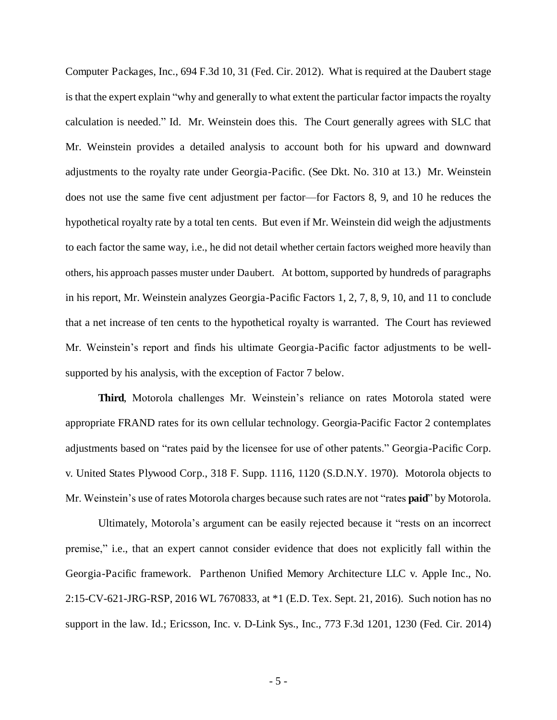Computer Packages, Inc., 694 F.3d 10, 31 (Fed. Cir. 2012). What is required at the Daubert stage is that the expert explain "why and generally to what extent the particular factor impacts the royalty calculation is needed." Id. Mr. Weinstein does this. The Court generally agrees with SLC that Mr. Weinstein provides a detailed analysis to account both for his upward and downward adjustments to the royalty rate under Georgia-Pacific. (See Dkt. No. 310 at 13.) Mr. Weinstein does not use the same five cent adjustment per factor—for Factors 8, 9, and 10 he reduces the hypothetical royalty rate by a total ten cents. But even if Mr. Weinstein did weigh the adjustments to each factor the same way, i.e., he did not detail whether certain factors weighed more heavily than others, his approach passes muster under Daubert. At bottom, supported by hundreds of paragraphs in his report, Mr. Weinstein analyzes Georgia-Pacific Factors 1, 2, 7, 8, 9, 10, and 11 to conclude that a net increase of ten cents to the hypothetical royalty is warranted. The Court has reviewed Mr. Weinstein's report and finds his ultimate Georgia-Pacific factor adjustments to be wellsupported by his analysis, with the exception of Factor 7 below.

**Third**, Motorola challenges Mr. Weinstein's reliance on rates Motorola stated were appropriate FRAND rates for its own cellular technology. Georgia-Pacific Factor 2 contemplates adjustments based on "rates paid by the licensee for use of other patents." Georgia-Pacific Corp. v. United States Plywood Corp., 318 F. Supp. 1116, 1120 (S.D.N.Y. 1970). Motorola objects to Mr. Weinstein's use of rates Motorola charges because such rates are not "rates **paid**" by Motorola.

Ultimately, Motorola's argument can be easily rejected because it "rests on an incorrect premise," i.e., that an expert cannot consider evidence that does not explicitly fall within the Georgia-Pacific framework. Parthenon Unified Memory Architecture LLC v. Apple Inc., No. 2:15-CV-621-JRG-RSP, 2016 WL 7670833, at \*1 (E.D. Tex. Sept. 21, 2016). Such notion has no support in the law. Id.; Ericsson, Inc. v. D-Link Sys., Inc., 773 F.3d 1201, 1230 (Fed. Cir. 2014)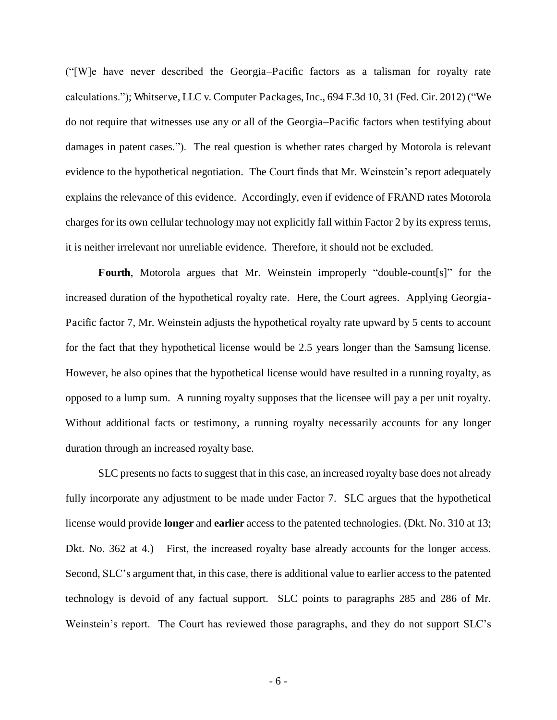("[W]e have never described the Georgia*–*Pacific factors as a talisman for royalty rate calculations."); Whitserve, LLC v. Computer Packages, Inc., 694 F.3d 10, 31 (Fed. Cir. 2012) ("We do not require that witnesses use any or all of the Georgia*–*Pacific factors when testifying about damages in patent cases."). The real question is whether rates charged by Motorola is relevant evidence to the hypothetical negotiation. The Court finds that Mr. Weinstein's report adequately explains the relevance of this evidence. Accordingly, even if evidence of FRAND rates Motorola charges for its own cellular technology may not explicitly fall within Factor 2 by its express terms, it is neither irrelevant nor unreliable evidence. Therefore, it should not be excluded.

**Fourth**, Motorola argues that Mr. Weinstein improperly "double-count[s]" for the increased duration of the hypothetical royalty rate. Here, the Court agrees. Applying Georgia-Pacific factor 7, Mr. Weinstein adjusts the hypothetical royalty rate upward by 5 cents to account for the fact that they hypothetical license would be 2.5 years longer than the Samsung license. However, he also opines that the hypothetical license would have resulted in a running royalty, as opposed to a lump sum. A running royalty supposes that the licensee will pay a per unit royalty. Without additional facts or testimony, a running royalty necessarily accounts for any longer duration through an increased royalty base.

SLC presents no facts to suggest that in this case, an increased royalty base does not already fully incorporate any adjustment to be made under Factor 7. SLC argues that the hypothetical license would provide **longer** and **earlier** access to the patented technologies. (Dkt. No. 310 at 13; Dkt. No. 362 at 4.) First, the increased royalty base already accounts for the longer access. Second, SLC's argument that, in this case, there is additional value to earlier access to the patented technology is devoid of any factual support. SLC points to paragraphs 285 and 286 of Mr. Weinstein's report. The Court has reviewed those paragraphs, and they do not support SLC's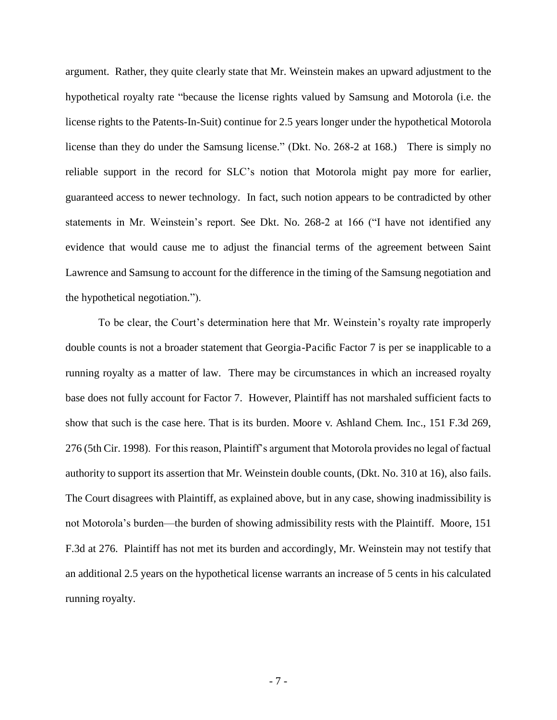argument. Rather, they quite clearly state that Mr. Weinstein makes an upward adjustment to the hypothetical royalty rate "because the license rights valued by Samsung and Motorola (i.e. the license rights to the Patents-In-Suit) continue for 2.5 years longer under the hypothetical Motorola license than they do under the Samsung license." (Dkt. No. 268-2 at 168.) There is simply no reliable support in the record for SLC's notion that Motorola might pay more for earlier, guaranteed access to newer technology. In fact, such notion appears to be contradicted by other statements in Mr. Weinstein's report. See Dkt. No. 268-2 at 166 ("I have not identified any evidence that would cause me to adjust the financial terms of the agreement between Saint Lawrence and Samsung to account for the difference in the timing of the Samsung negotiation and the hypothetical negotiation.").

To be clear, the Court's determination here that Mr. Weinstein's royalty rate improperly double counts is not a broader statement that Georgia-Pacific Factor 7 is per se inapplicable to a running royalty as a matter of law. There may be circumstances in which an increased royalty base does not fully account for Factor 7. However, Plaintiff has not marshaled sufficient facts to show that such is the case here. That is its burden. Moore v. Ashland Chem. Inc., 151 F.3d 269, 276 (5th Cir. 1998). For this reason, Plaintiff's argument that Motorola provides no legal of factual authority to support its assertion that Mr. Weinstein double counts, (Dkt. No. 310 at 16), also fails. The Court disagrees with Plaintiff, as explained above, but in any case, showing inadmissibility is not Motorola's burden—the burden of showing admissibility rests with the Plaintiff. Moore, 151 F.3d at 276. Plaintiff has not met its burden and accordingly, Mr. Weinstein may not testify that an additional 2.5 years on the hypothetical license warrants an increase of 5 cents in his calculated running royalty.